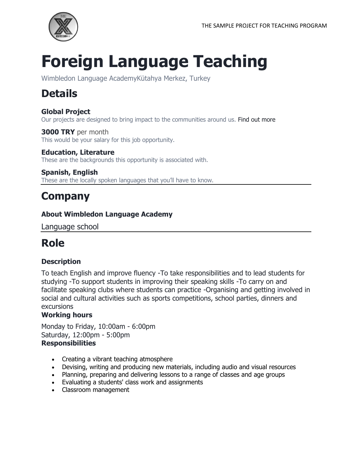

# **Foreign Language Teaching**

Wimbledon Language AcademyKütahya Merkez, Turkey

## **Details**

**Global Project** Our projects are designed to bring impact to the communities around us. Find out more

**3000 TRY** per month This would be your salary for this job opportunity.

**Education, Literature** These are the backgrounds this opportunity is associated with.

**Spanish, English** These are the locally spoken languages that you'll have to know.

## **Company**

#### **About Wimbledon Language Academy**

Language school

### **Role**

#### **Description**

To teach English and improve fluency -To take responsibilities and to lead students for studying -To support students in improving their speaking skills -To carry on and facilitate speaking clubs where students can practice -Organising and getting involved in social and cultural activities such as sports competitions, school parties, dinners and excursions

#### **Working hours**

Monday to Friday, 10:00am - 6:00pm Saturday, 12:00pm - 5:00pm **Responsibilities**

- Creating a vibrant teaching atmosphere
- Devising, writing and producing new materials, including audio and visual resources
- Planning, preparing and delivering lessons to a range of classes and age groups
- Evaluating a students' class work and assignments
- Classroom management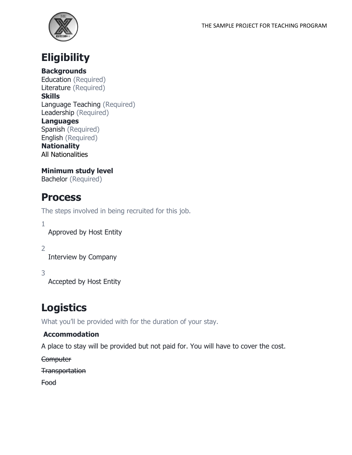



**Backgrounds** Education (Required) Literature (Required)

#### **Skills**

Language Teaching (Required) Leadership (Required)

#### **Languages**

Spanish (Required) English (Required)

**Nationality** All Nationalities

**Minimum study level** Bachelor (Required)

### **Process**

The steps involved in being recruited for this job.

1

Approved by Host Entity

2

Interview by Company

3

Accepted by Host Entity

### **Logistics**

What you'll be provided with for the duration of your stay.

#### **Accommodation**

A place to stay will be provided but not paid for. You will have to cover the cost.

**Computer** 

**Transportation** 

Food